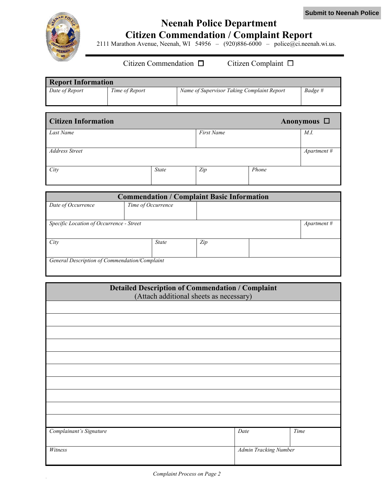

## **Neenah Police Department Citizen Commendation / Complaint Report**

2111 Marathon Avenue, Neenah, WI 54956 – (920)886-6000 – police@ci.neenah.wi.us.

## Citizen Commendation  $\Box$  Citizen Complaint  $\Box$

| <b>Report Information</b> |                |                                            |         |  |
|---------------------------|----------------|--------------------------------------------|---------|--|
| Date of Report            | Time of Report | Name of Supervisor Taking Complaint Report | Badge # |  |
|                           |                |                                            |         |  |

| <b>Citizen Information</b> |              |                   |       | Anonymous $\Box$ |
|----------------------------|--------------|-------------------|-------|------------------|
| Last Name                  |              | <b>First Name</b> |       | M.I.             |
| <b>Address Street</b>      |              |                   |       | Apartment #      |
| City                       | <b>State</b> | Zip               | Phone |                  |

| <b>Commendation / Complaint Basic Information</b> |                    |     |  |                       |
|---------------------------------------------------|--------------------|-----|--|-----------------------|
| Date of Occurrence                                | Time of Occurrence |     |  |                       |
|                                                   |                    |     |  |                       |
| Specific Location of Occurrence - Street          |                    |     |  | $A$ <i>partment</i> # |
|                                                   |                    |     |  |                       |
| City                                              | <b>State</b>       | Zip |  |                       |
|                                                   |                    |     |  |                       |
| General Description of Commendation/Complaint     |                    |     |  |                       |
|                                                   |                    |     |  |                       |

| <b>Detailed Description of Commendation / Complaint</b> |                                         |      |  |
|---------------------------------------------------------|-----------------------------------------|------|--|
|                                                         | (Attach additional sheets as necessary) |      |  |
|                                                         |                                         |      |  |
|                                                         |                                         |      |  |
|                                                         |                                         |      |  |
|                                                         |                                         |      |  |
|                                                         |                                         |      |  |
|                                                         |                                         |      |  |
|                                                         |                                         |      |  |
|                                                         |                                         |      |  |
|                                                         |                                         |      |  |
|                                                         |                                         |      |  |
| Complainant's Signature                                 | Date                                    | Time |  |
| Witness                                                 | Admin Tracking Number                   |      |  |